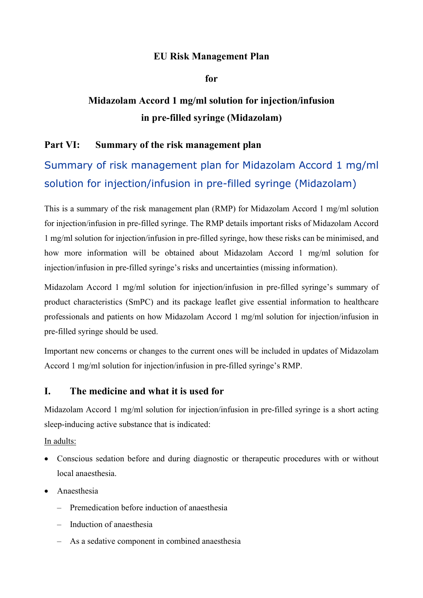## EU Risk Management Plan

for

## Midazolam Accord 1 mg/ml solution for injection/infusion in pre-filled syringe (Midazolam)

## Part VI: Summary of the risk management plan

# Summary of risk management plan for Midazolam Accord 1 mg/ml solution for injection/infusion in pre-filled syringe (Midazolam)

This is a summary of the risk management plan (RMP) for Midazolam Accord 1 mg/ml solution for injection/infusion in pre-filled syringe. The RMP details important risks of Midazolam Accord 1 mg/ml solution for injection/infusion in pre-filled syringe, how these risks can be minimised, and how more information will be obtained about Midazolam Accord 1 mg/ml solution for injection/infusion in pre-filled syringe's risks and uncertainties (missing information).

Midazolam Accord 1 mg/ml solution for injection/infusion in pre-filled syringe's summary of product characteristics (SmPC) and its package leaflet give essential information to healthcare professionals and patients on how Midazolam Accord 1 mg/ml solution for injection/infusion in pre-filled syringe should be used.

Important new concerns or changes to the current ones will be included in updates of Midazolam Accord 1 mg/ml solution for injection/infusion in pre-filled syringe's RMP.

## I. The medicine and what it is used for

Midazolam Accord 1 mg/ml solution for injection/infusion in pre-filled syringe is a short acting sleep-inducing active substance that is indicated:

In adults:

- Conscious sedation before and during diagnostic or therapeutic procedures with or without local anaesthesia.
- Anaesthesia
	- Premedication before induction of anaesthesia
	- Induction of anaesthesia
	- As a sedative component in combined anaesthesia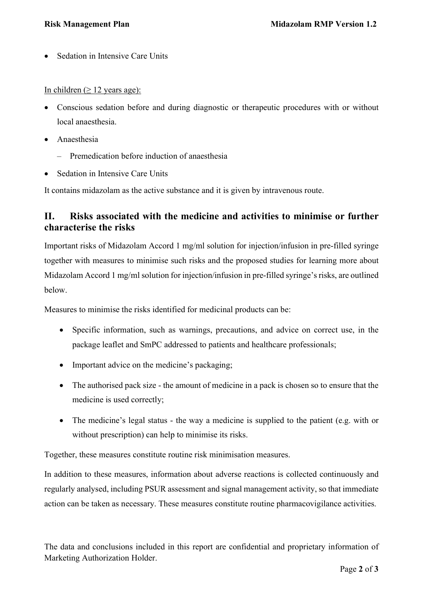Sedation in Intensive Care Units

#### In children ( $\geq$  12 years age):

- Conscious sedation before and during diagnostic or therapeutic procedures with or without local anaesthesia.
- Anaesthesia
	- Premedication before induction of anaesthesia
- Sedation in Intensive Care Units

It contains midazolam as the active substance and it is given by intravenous route.

## II. Risks associated with the medicine and activities to minimise or further characterise the risks

Important risks of Midazolam Accord 1 mg/ml solution for injection/infusion in pre-filled syringe together with measures to minimise such risks and the proposed studies for learning more about Midazolam Accord 1 mg/ml solution for injection/infusion in pre-filled syringe's risks, are outlined below.

Measures to minimise the risks identified for medicinal products can be:

- Specific information, such as warnings, precautions, and advice on correct use, in the package leaflet and SmPC addressed to patients and healthcare professionals;
- Important advice on the medicine's packaging;
- The authorised pack size the amount of medicine in a pack is chosen so to ensure that the medicine is used correctly;
- The medicine's legal status the way a medicine is supplied to the patient (e.g. with or without prescription) can help to minimise its risks.

Together, these measures constitute routine risk minimisation measures.

In addition to these measures, information about adverse reactions is collected continuously and regularly analysed, including PSUR assessment and signal management activity, so that immediate action can be taken as necessary. These measures constitute routine pharmacovigilance activities.

The data and conclusions included in this report are confidential and proprietary information of Marketing Authorization Holder.